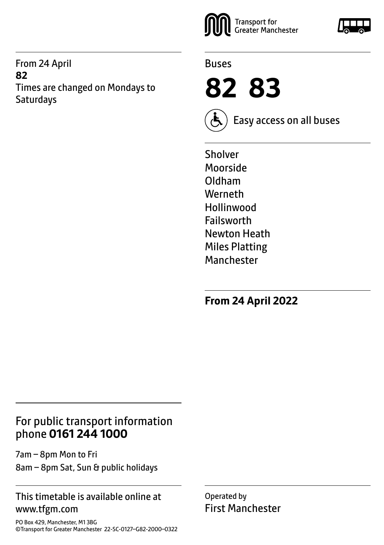From 24 April **82** Times are changed on Mondays to **Saturdays** 





**82 83**



Easy access on all buses

Sholver Moorside Oldham Werneth Hollinwood Failsworth Newton Heath Miles Platting Manchester

**From 24 April 2022**

### For public transport information phone **0161 244 1000**

7am – 8pm Mon to Fri 8am – 8pm Sat, Sun & public holidays

#### This timetable is available online at www.tfgm.com

PO Box 429, Manchester, M1 3BG ©Transport for Greater Manchester 22-SC-0127–G82-2000–0322 Operated by First Manchester

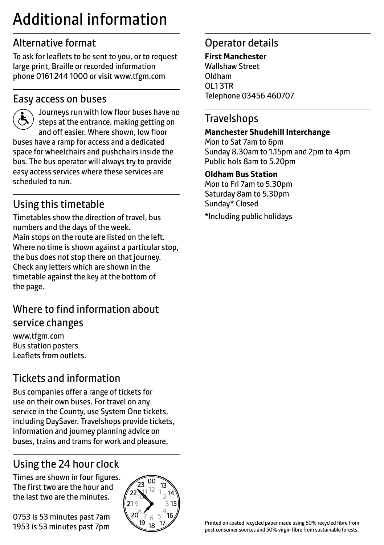# Additional information

## Alternative format

To ask for leaflets to be sent to you, or to request large print, Braille or recorded information phone 0161 244 1000 or visit www.tfgm.com

#### Easy access on buses



 Journeys run with low floor buses have no steps at the entrance, making getting on and off easier. Where shown, low floor buses have a ramp for access and a dedicated space for wheelchairs and pushchairs inside the bus. The bus operator will always try to provide easy access services where these services are scheduled to run.

# Using this timetable

Timetables show the direction of travel, bus numbers and the days of the week. Main stops on the route are listed on the left. Where no time is shown against a particular stop, the bus does not stop there on that journey. Check any letters which are shown in the timetable against the key at the bottom of the page.

## Where to find information about service changes

www.tfgm.com Bus station posters Leaflets from outlets.

# Tickets and information

Bus companies offer a range of tickets for use on their own buses. For travel on any service in the County, use System One tickets, including DaySaver. Travelshops provide tickets, information and journey planning advice on buses, trains and trams for work and pleasure.

# Using the 24 hour clock

Times are shown in four figures. The first two are the hour and the last two are the minutes.

0753 is 53 minutes past 7am 1953 is 53 minutes past 7pm



### Operator details

**First Manchester** Wallshaw Street Oldham OL1 3TR Telephone 03456 460707

#### **Travelshops**

#### **Manchester Shudehill Interchange**

Mon to Sat 7am to 6pm Sunday 8.30am to 1.15pm and 2pm to 4pm Public hols 8am to 5.20pm

#### **Oldham Bus Station**

Mon to Fri 7am to 5.30pm Saturday 8am to 5.30pm Sunday\* Closed \*Including public holidays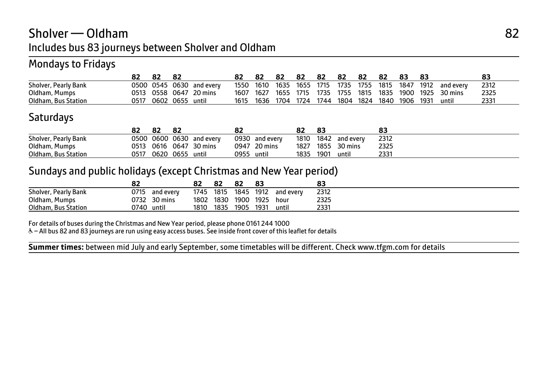## Sholver — Oldham 82 Includes bus 83 journeys between Sholver and Oldham

#### Mondays to Fridays

|                      |      |           |      |           |      | 82   | 82   | 82   | 82   | 82   | 82   | 82   | 83   | -83  |           | 83   |
|----------------------|------|-----------|------|-----------|------|------|------|------|------|------|------|------|------|------|-----------|------|
| Sholver, Pearly Bank |      | 0500 0545 | 0630 | and every | 1550 | 1610 | 1635 | 1655 | 1715 | 1735 | 1755 | 1815 | 1847 | 1912 | and every | 2312 |
| Oldham, Mumps        | 0513 | 0558 0647 |      | 20 mins   | 1607 | 1627 | 1655 | 1715 | 1735 | 1755 | 1815 | 1835 | 1900 | 1925 | 30 mins   | 2325 |
| Oldham, Bus Station  | 0517 | 0602      | 0655 | until     | 1615 | 1636 | 1704 | 1724 | 1744 | 1804 | 1824 | 1840 | 1906 | 1931 | until     | 233' |

#### **Saturdays**

|                      | 82   | 82        |                          | 82   |           |      | 83   |                | 83   |
|----------------------|------|-----------|--------------------------|------|-----------|------|------|----------------|------|
| Sholver, Pearly Bank |      |           | 0500 0600 0630 and every | 0930 | and everv | 1810 |      | 1842 and every | 2312 |
| Oldham, Mumps        | 0513 |           | 0616 0647 30 mins        | 0947 | 20 mins   | 1827 | 1855 | 30 mins        | 2325 |
| Oldham, Bus Station  | 0517 | 0620 0655 | until                    | 0955 | until     | 1835 | 1901 | until          | 2331 |

#### Sundays and public holidays (except Christmas and New Year period)

|                      | o٠<br>84 |           | oΖ   |      | 82   |      |           |      |
|----------------------|----------|-----------|------|------|------|------|-----------|------|
| Sholver, Pearly Bank | 0715     | and every | 1745 | 1815 | 1845 | 1912 | and every | 2312 |
| Oldham, Mumps        | 0732     | 30 mins   | 1802 | 1830 | 1900 | 1925 | hour      | 2325 |
| Oldham, Bus Station  | 0740     | until     | 1810 | 1835 | 1905 | 1931 | until     | 2331 |

For details of buses during the Christmas and New Year period, please phone 0161 244 1000

W– All bus 82 and 83 journeys are run using easy access buses. See inside front cover of this leaflet for details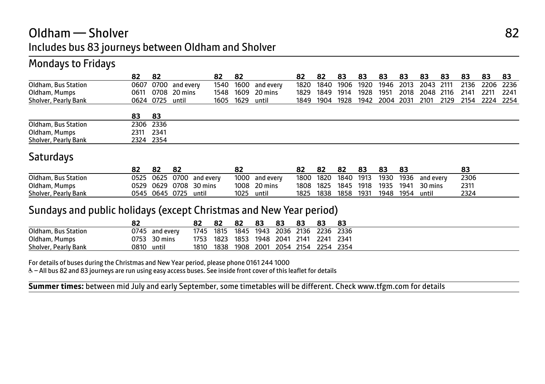## Oldham — Sholver 82 Includes bus 83 journeys between Oldham and Sholver

#### Mondays to Fridays

|                      | 82        | 82              |                | 82        | 82 |                     | 82   | -82       | 83   | 83   | 83             | 83   | 83        | 83 | 83   | 83                  | 83   |
|----------------------|-----------|-----------------|----------------|-----------|----|---------------------|------|-----------|------|------|----------------|------|-----------|----|------|---------------------|------|
| Oldham, Bus Station  | 0607      |                 | 0700 and every |           |    | 1540 1600 and every | 1820 | 1840      | 1906 | 1920 | 1946 2013      |      | 2043 2111 |    |      | 2136 2206 2236      |      |
| Oldham, Mumps        | 0611      |                 | 0708 20 mins   |           |    | 1548 1609 20 mins   | 1829 | 1849      | 1914 | 1928 | 1951           | 2018 | 2048 2116 |    | 2141 | 2211                | 2241 |
| Sholver, Pearly Bank |           | 0624 0725 until |                | 1605 1629 |    | until               |      | 1849 1904 | 1928 |      | 1942 2004 2031 |      | 2101      |    |      | 2129 2154 2224 2254 |      |
|                      |           |                 |                |           |    |                     |      |           |      |      |                |      |           |    |      |                     |      |
|                      | 83        | -83             |                |           |    |                     |      |           |      |      |                |      |           |    |      |                     |      |
| Oldham, Bus Station  | 2306 2336 |                 |                |           |    |                     |      |           |      |      |                |      |           |    |      |                     |      |
| Oldham, Mumps        | 2311      | 2341            |                |           |    |                     |      |           |      |      |                |      |           |    |      |                     |      |
| Sholver, Pearly Bank | 2324 2354 |                 |                |           |    |                     |      |           |      |      |                |      |           |    |      |                     |      |

#### **Saturdays**

|                      | 82   | 82        | 82 |                | 82   |           |      |      | 82   | 83   | -83  | 83   |           |      |
|----------------------|------|-----------|----|----------------|------|-----------|------|------|------|------|------|------|-----------|------|
| Oldham, Bus Station  | ว525 | 0625      |    | 0700 and every | 1000 | and every | 1800 | 1820 | 1840 | 1913 | 1930 | 1936 | and every | 2306 |
| Oldham, Mumps        | 0529 | 0629      |    | 0708 30 mins   | 1008 | 20 mins   | 1808 | 1825 | 1845 | 1918 | 1935 | 1941 | 30 mins   | 2311 |
| Sholver, Pearly Bank | 0545 | 0645 0725 |    | until          | 1025 | until     | 1825 | 1838 | 1858 | 1931 | 1948 | 1954 | until     | 2324 |

#### Sundays and public holidays (except Christmas and New Year period)

|                      | 82   |           |      | 82   | 82   | 83   | 83   | 83   | 83   | 83   |
|----------------------|------|-----------|------|------|------|------|------|------|------|------|
| Oldham, Bus Station  | 0745 | and everv | 1745 | 1815 | 1845 | 1943 | 2036 | 2136 | 2236 | 2336 |
| Oldham, Mumps        | 0753 | 30 mins   | 1753 | 1823 | 1853 | 1948 | 2041 | 2141 | 2241 | 2341 |
| Sholver, Pearly Bank | 0810 | until     | 1810 | 1838 | 1908 | 2001 | 2054 | 2154 | 2254 | 2354 |

For details of buses during the Christmas and New Year period, please phone 0161 244 1000

W– All bus 82 and 83 journeys are run using easy access buses. See inside front cover of this leaflet for details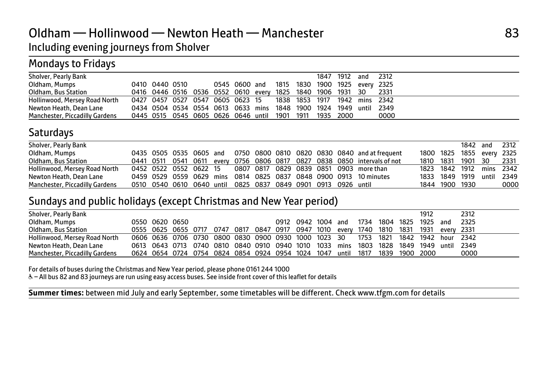### Oldham — Hollinwood — Newton Heath — Manchester 83 Including evening journeys from Sholver

#### Mondays to Fridays

|  |  |                |  |  |  | 0000                                                                                                                                                                                                                                                                                                                                    |
|--|--|----------------|--|--|--|-----------------------------------------------------------------------------------------------------------------------------------------------------------------------------------------------------------------------------------------------------------------------------------------------------------------------------------------|
|  |  | 0410 0440 0510 |  |  |  | 1847 1912 and 2312<br>0545 0600 and 1815 1830 1900 1925 every 2325<br>0416 0446 0516 0536 0552 0610 every 1825 1840 1906 1931 30 2331<br>0427 0457 0527 0547 0605 0623 15 1838 1853 1917 1942 mins 2342<br>0434 0504 0534 0554 0613 0633 mins 1848 1900 1924 1949 until 2349<br>0445 0515 0545 0605 0626 0646 until 1901 1911 1935 2000 |

#### **Saturdays**

| Sholver, Pearly Bank           |  |  |                                                               |  |  |                                                                          |                | 1842 and 2312             |      |
|--------------------------------|--|--|---------------------------------------------------------------|--|--|--------------------------------------------------------------------------|----------------|---------------------------|------|
|                                |  |  |                                                               |  |  |                                                                          |                |                           |      |
| Oldham, Mumps                  |  |  |                                                               |  |  | 0435 0505 0535 0605 and 0750 0800 0810 0820 0830 0840 and at frequent    |                | 1800 1825 1855 every 2325 |      |
| Oldham, Bus Station            |  |  |                                                               |  |  | 0441 0511 0541 0611 every 0756 0806 0817 0827 0838 0850 intervals of not |                | 1810 1831 1901 30 2331    |      |
| Hollinwood, Mersey Road North  |  |  |                                                               |  |  | 0452 0522 0552 0622 15 0807 0817 0829 0839 0851 0903 more than           |                | 1823 1842 1912 mins 2342  |      |
| Newton Heath, Dean Lane        |  |  |                                                               |  |  | 0459 0529 0559 0629 mins 0814 0825 0837 0848 0900 0913 10 minutes        |                | 1833 1849 1919 until 2349 |      |
| Manchester, Piccadilly Gardens |  |  | 0510 0540 0610 0640 until 0825 0837 0849 0901 0913 0926 until |  |  |                                                                          | 1844 1900 1930 |                           | 0000 |

#### Sundays and public holidays (except Christmas and New Year period)

| Sholver, Pearly Bank           |                                                                             |                |                                                                                        |  |  |                    |  |                |      | 1912           |       | 2312 |
|--------------------------------|-----------------------------------------------------------------------------|----------------|----------------------------------------------------------------------------------------|--|--|--------------------|--|----------------|------|----------------|-------|------|
| Oldham, Mumps                  |                                                                             | 0550 0620 0650 |                                                                                        |  |  | 0912 0942 1004 and |  | 1734 1804 1825 |      | 1925           | and   | 2325 |
| Oldham, Bus Station            |                                                                             |                | 0555 0625 0655 0717 0747 0817 0847 0917 0947 1010 every 1740 1810 1831 1931 every 2331 |  |  |                    |  |                |      |                |       |      |
| Hollinwood, Mersey Road North  | 0606 0636 0706 0730 0800 0830 0900 0930 1000 1023 30 1753 1821              |                |                                                                                        |  |  |                    |  |                | 1842 | 1942 hour 2342 |       |      |
| Newton Heath, Dean Lane        |                                                                             |                | 0613 0643 0713 0740 0810 0840 0910 0940 1010 1033 mins 1803 1828                       |  |  |                    |  |                |      | 1849 1949      | until | 2349 |
| Manchester, Piccadilly Gardens | 0624 0654 0724 0754 0824 0854 0924 0954 1024 1047 until 1817 1839 1900 2000 |                |                                                                                        |  |  |                    |  |                |      |                |       | 0000 |

For details of buses during the Christmas and New Year period, please phone 0161 244 1000

W– All bus 82 and 83 journeys are run using easy access buses. See inside front cover of this leaflet for details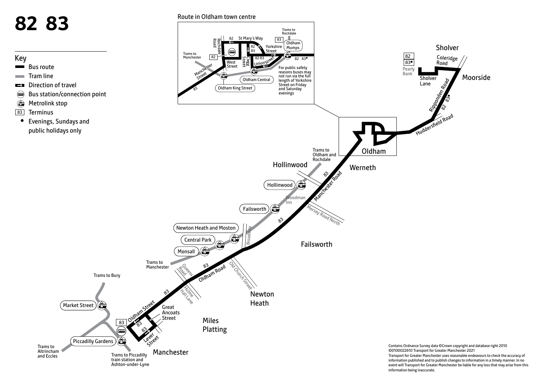

event will Transport for Greater Manchester be liable for any loss that may arise from this information being inaccurate.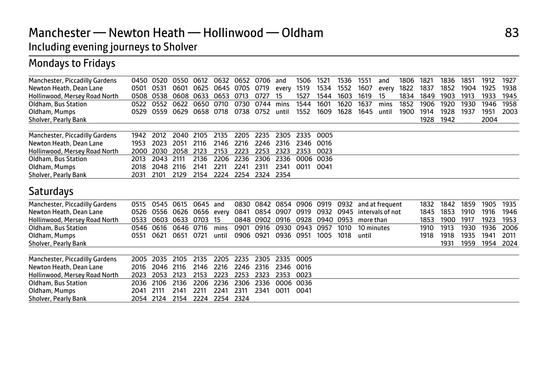# Manchester — Newton Heath — Hollinwood — Oldham 83

## Including evening journeys to Sholver

## Mondays to Fridays

| 0450 | 0520                                         | 0550                         | 0612                                                 | 0632                                         | 0652                                 | 0706                                         | and                                          | 1506                                         | 152 <sup>2</sup>                     | 1536                                         | 1551  | and   | 1806                    | 1821                                | 1836 | 1851 | 1912 | 1927 |
|------|----------------------------------------------|------------------------------|------------------------------------------------------|----------------------------------------------|--------------------------------------|----------------------------------------------|----------------------------------------------|----------------------------------------------|--------------------------------------|----------------------------------------------|-------|-------|-------------------------|-------------------------------------|------|------|------|------|
| 0501 | 0531                                         | 0601                         | 0625                                                 | 0645                                         | 0705                                 | 0719                                         | every                                        | 1519                                         | 1534                                 | 1552                                         | 1607  | every | 1822                    | 1837                                | 1852 | 1904 | 1925 | 1938 |
| 0508 | 0538                                         | 0608                         | 0633                                                 | 0653                                         | 0713                                 | 0727                                         | 15                                           | 1527                                         | 1544                                 | 1603                                         | 1619  | 15    | 1834                    | 1849                                | 1903 | 1913 | 1933 | 1945 |
| 0522 | 0552                                         | 0622                         | 0650                                                 | 0710                                         | 0730                                 | 0744                                         | mins                                         | 1544                                         | 1601                                 | 1620                                         | 1637  | mins  | 1852                    | 1906                                | 1920 | 1930 | 1946 | 1958 |
| 0529 | 0559                                         | 0629                         | 0658                                                 | 0718                                         | 0738                                 | 0752                                         | until                                        | 1552                                         | 1609                                 | 1628                                         | 1645  | until | 1900                    | 1914                                | 1928 | 1937 | 1951 | 2003 |
|      |                                              |                              |                                                      |                                              |                                      |                                              |                                              |                                              |                                      |                                              |       |       |                         | 1928                                | 1942 |      | 2004 |      |
|      |                                              |                              |                                                      |                                              |                                      |                                              |                                              |                                              |                                      |                                              |       |       |                         |                                     |      |      |      |      |
|      |                                              |                              |                                                      |                                              |                                      |                                              |                                              |                                              |                                      |                                              |       |       |                         |                                     |      |      |      |      |
|      |                                              |                              |                                                      |                                              |                                      |                                              |                                              |                                              |                                      |                                              |       |       |                         |                                     |      |      |      |      |
|      |                                              |                              |                                                      |                                              |                                      |                                              |                                              |                                              |                                      |                                              |       |       |                         |                                     |      |      |      |      |
|      |                                              |                              |                                                      |                                              |                                      |                                              |                                              |                                              |                                      |                                              |       |       |                         |                                     |      |      |      |      |
| 2031 | 2101                                         | 2129                         | 2154                                                 | 2224                                         | 2254                                 | 2324                                         | 2354                                         |                                              |                                      |                                              |       |       |                         |                                     |      |      |      |      |
|      |                                              |                              |                                                      |                                              |                                      |                                              |                                              |                                              |                                      |                                              |       |       |                         |                                     |      |      |      |      |
| 0515 | 0545                                         | 0615                         | 0645                                                 | and                                          | 0830                                 | 0842                                         | 0854                                         |                                              | 0919                                 | 0932                                         |       |       |                         | 1832                                | 1842 | 1859 | 1905 | 1935 |
| 0526 | 0556                                         | 0626                         | 0656                                                 | every                                        | 0841                                 | 0854                                         | 0907                                         | 0919                                         | 0932                                 | 0945                                         |       |       |                         | 1845                                | 1853 | 1910 | 1916 | 1946 |
| 0533 |                                              | 0633                         | 0703                                                 | 15                                           | 0848                                 | 0902                                         | 0916                                         | 0928                                         |                                      | 0953                                         |       |       |                         | 1853                                | 1900 | 1917 | 1923 | 1953 |
| 0546 | 0616                                         | 0646                         | 0716                                                 | mins                                         | 0901                                 | 0916                                         | 0930                                         | 0943                                         | 0957                                 | 1010                                         |       |       |                         | 1910                                | 1913 | 1930 | 1936 | 2006 |
| 0551 | 0621                                         | 0651                         | 0721                                                 | until                                        | 0906                                 | 0921                                         | 0936                                         | 0951                                         | 1005                                 | 1018                                         | until |       |                         | 1918                                | 1918 | 1935 | 1941 | 2011 |
|      |                                              |                              |                                                      |                                              |                                      |                                              |                                              |                                              |                                      |                                              |       |       |                         |                                     |      | 1959 | 1954 | 2024 |
|      | 2035                                         | 2105                         |                                                      | 2205                                         |                                      |                                              |                                              | 0005                                         |                                      |                                              |       |       |                         |                                     |      |      |      |      |
| 2016 | 2046                                         | 2116                         | 2146                                                 | 2216                                         | 2246                                 | 2316                                         | 2346                                         | 0016                                         |                                      |                                              |       |       |                         |                                     |      |      |      |      |
| 2023 | 2053                                         | 2123                         | 2153                                                 | 2223                                         | 2253                                 | 2323                                         | 2353                                         | 0023                                         |                                      |                                              |       |       |                         |                                     |      |      |      |      |
| 2036 | 2106                                         | 2136                         | 2206                                                 | 2236                                         | 2306                                 | 2336                                         | 0006                                         | 0036                                         |                                      |                                              |       |       |                         |                                     |      |      |      |      |
| 2041 | 2111                                         | 2141                         | 2211                                                 | 2241                                         | 2311                                 | 2341                                         | 0011                                         | 0041                                         |                                      |                                              |       |       |                         |                                     |      |      |      |      |
| 2054 | 2124                                         | 2154                         | 2224                                                 | 2254                                         | 2324                                 |                                              |                                              |                                              |                                      |                                              |       |       |                         |                                     |      |      |      |      |
|      | 1942<br>1953<br>2000<br>2013<br>2018<br>2005 | 2012<br>2023<br>2030<br>2043 | 2040<br>2051<br>2058<br>2111<br>2048<br>2116<br>0603 | 2105<br>2116<br>2123<br>2136<br>2141<br>2135 | 2135<br>2146<br>2153<br>2206<br>2211 | 2205<br>2216<br>2223<br>2236<br>2241<br>2235 | 2235<br>2246<br>2253<br>2306<br>2311<br>2305 | 2305<br>2316<br>2323<br>2336<br>2341<br>2335 | 2335<br>2346<br>2353<br>0006<br>0011 | 0005<br>0016<br>0023<br>0036<br>0041<br>0906 | 0940  |       | more than<br>10 minutes | and at frequent<br>intervals of not |      | 1931 |      |      |